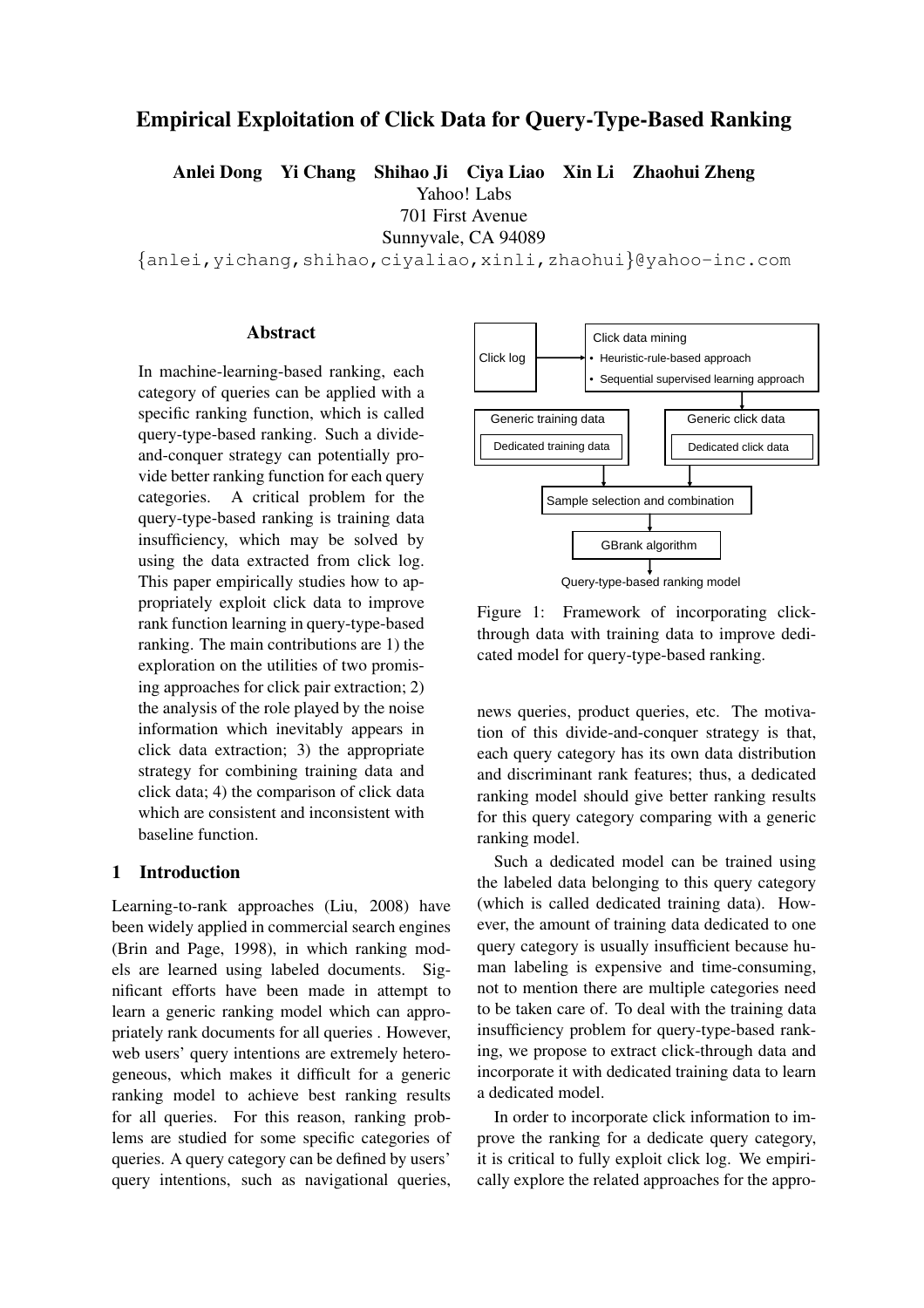# Empirical Exploitation of Click Data for Query-Type-Based Ranking

Anlei Dong Yi Chang Shihao Ji Ciya Liao Xin Li Zhaohui Zheng

Yahoo! Labs

701 First Avenue

Sunnyvale, CA 94089

{anlei,yichang,shihao,ciyaliao,xinli,zhaohui}@yahoo-inc.com

# Abstract

In machine-learning-based ranking, each category of queries can be applied with a specific ranking function, which is called query-type-based ranking. Such a divideand-conquer strategy can potentially provide better ranking function for each query categories. A critical problem for the query-type-based ranking is training data insufficiency, which may be solved by using the data extracted from click log. This paper empirically studies how to appropriately exploit click data to improve rank function learning in query-type-based ranking. The main contributions are 1) the exploration on the utilities of two promising approaches for click pair extraction; 2) the analysis of the role played by the noise information which inevitably appears in click data extraction; 3) the appropriate strategy for combining training data and click data; 4) the comparison of click data which are consistent and inconsistent with baseline function. spectra cannot an intention and the such a dedicated and-conquer stretated propositions, which may be solved by using the data currenting form of the such similar propositions. A critical problem for the party-type-based r

# 1 Introduction

Learning-to-rank approaches (Liu, 2008) have been widely applied in commercial search engines (Brin and Page, 1998), in which ranking models are learned using labeled documents. Significant efforts have been made in attempt to learn a generic ranking model which can appropriately rank documents for all queries . However, web users' query intentions are extremely heterogeneous, which makes it difficult for a generic ranking model to achieve best ranking results for all queries. For this reason, ranking problems are studied for some specific categories of queries. A query category can be defined by users'



Query-type-based ranking model

Figure 1: Framework of incorporating clickthrough data with training data to improve dedicated model for query-type-based ranking.

news queries, product queries, etc. The motivation of this divide-and-conquer strategy is that, each query category has its own data distribution and discriminant rank features; thus, a dedicated ranking model should give better ranking results for this query category comparing with a generic ranking model.

Such a dedicated model can be trained using the labeled data belonging to this query category (which is called dedicated training data). However, the amount of training data dedicated to one query category is usually insufficient because human labeling is expensive and time-consuming, not to mention there are multiple categories need to be taken care of. To deal with the training data insufficiency problem for query-type-based ranking, we propose to extract click-through data and incorporate it with dedicated training data to learn a dedicated model.

In order to incorporate click information to improve the ranking for a dedicate query category, it is critical to fully exploit click log. We empirically explore the related approaches for the appro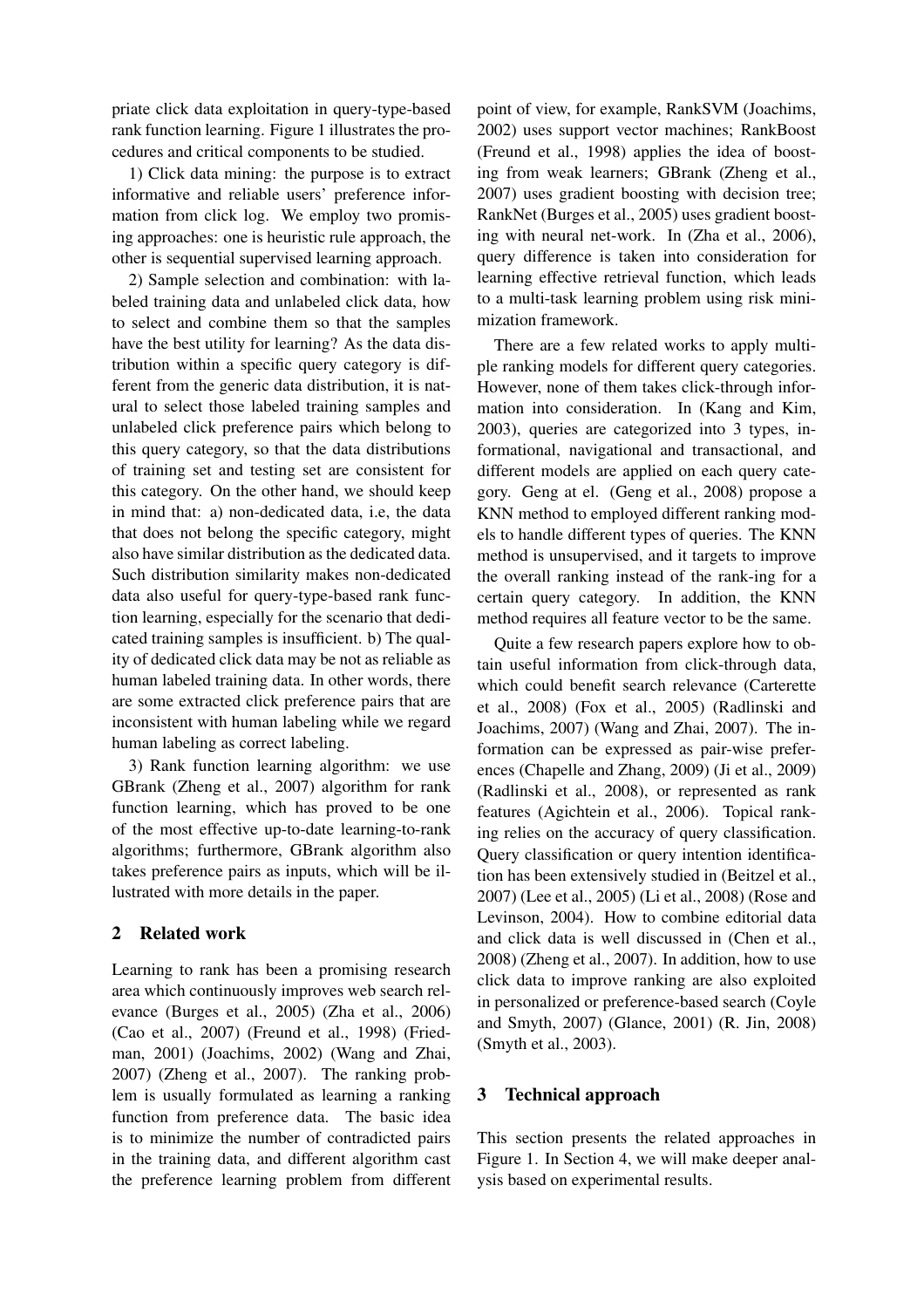priate click data exploitation in query-type-based rank function learning. Figure 1 illustrates the procedures and critical components to be studied.

1) Click data mining: the purpose is to extract informative and reliable users' preference information from click log. We employ two promising approaches: one is heuristic rule approach, the other is sequential supervised learning approach.

2) Sample selection and combination: with labeled training data and unlabeled click data, how to select and combine them so that the samples have the best utility for learning? As the data distribution within a specific query category is different from the generic data distribution, it is natural to select those labeled training samples and unlabeled click preference pairs which belong to this query category, so that the data distributions of training set and testing set are consistent for this category. On the other hand, we should keep in mind that: a) non-dedicated data, i.e, the data that does not belong the specific category, might also have similar distribution as the dedicated data. Such distribution similarity makes non-dedicated data also useful for query-type-based rank function learning, especially for the scenario that dedicated training samples is insufficient. b) The quality of dedicated click data may be not as reliable as human labeled training data. In other words, there are some extracted click preference pairs that are inconsistent with human labeling while we regard human labeling as correct labeling.

3) Rank function learning algorithm: we use GBrank (Zheng et al., 2007) algorithm for rank function learning, which has proved to be one of the most effective up-to-date learning-to-rank algorithms; furthermore, GBrank algorithm also takes preference pairs as inputs, which will be illustrated with more details in the paper.

# 2 Related work

Learning to rank has been a promising research area which continuously improves web search relevance (Burges et al., 2005) (Zha et al., 2006) (Cao et al., 2007) (Freund et al., 1998) (Friedman, 2001) (Joachims, 2002) (Wang and Zhai, 2007) (Zheng et al., 2007). The ranking problem is usually formulated as learning a ranking function from preference data. The basic idea is to minimize the number of contradicted pairs in the training data, and different algorithm cast the preference learning problem from different point of view, for example, RankSVM (Joachims, 2002) uses support vector machines; RankBoost (Freund et al., 1998) applies the idea of boosting from weak learners; GBrank (Zheng et al., 2007) uses gradient boosting with decision tree; RankNet (Burges et al., 2005) uses gradient boosting with neural net-work. In (Zha et al., 2006), query difference is taken into consideration for learning effective retrieval function, which leads to a multi-task learning problem using risk minimization framework.

There are a few related works to apply multiple ranking models for different query categories. However, none of them takes click-through information into consideration. In (Kang and Kim, 2003), queries are categorized into 3 types, informational, navigational and transactional, and different models are applied on each query category. Geng at el. (Geng et al., 2008) propose a KNN method to employed different ranking models to handle different types of queries. The KNN method is unsupervised, and it targets to improve the overall ranking instead of the rank-ing for a certain query category. In addition, the KNN method requires all feature vector to be the same.

Quite a few research papers explore how to obtain useful information from click-through data, which could benefit search relevance (Carterette et al., 2008) (Fox et al., 2005) (Radlinski and Joachims, 2007) (Wang and Zhai, 2007). The information can be expressed as pair-wise preferences (Chapelle and Zhang, 2009) (Ji et al., 2009) (Radlinski et al., 2008), or represented as rank features (Agichtein et al., 2006). Topical ranking relies on the accuracy of query classification. Query classification or query intention identification has been extensively studied in (Beitzel et al., 2007) (Lee et al., 2005) (Li et al., 2008) (Rose and Levinson, 2004). How to combine editorial data and click data is well discussed in (Chen et al., 2008) (Zheng et al., 2007). In addition, how to use click data to improve ranking are also exploited in personalized or preference-based search (Coyle and Smyth, 2007) (Glance, 2001) (R. Jin, 2008) (Smyth et al., 2003).

# 3 Technical approach

This section presents the related approaches in Figure 1. In Section 4, we will make deeper analysis based on experimental results.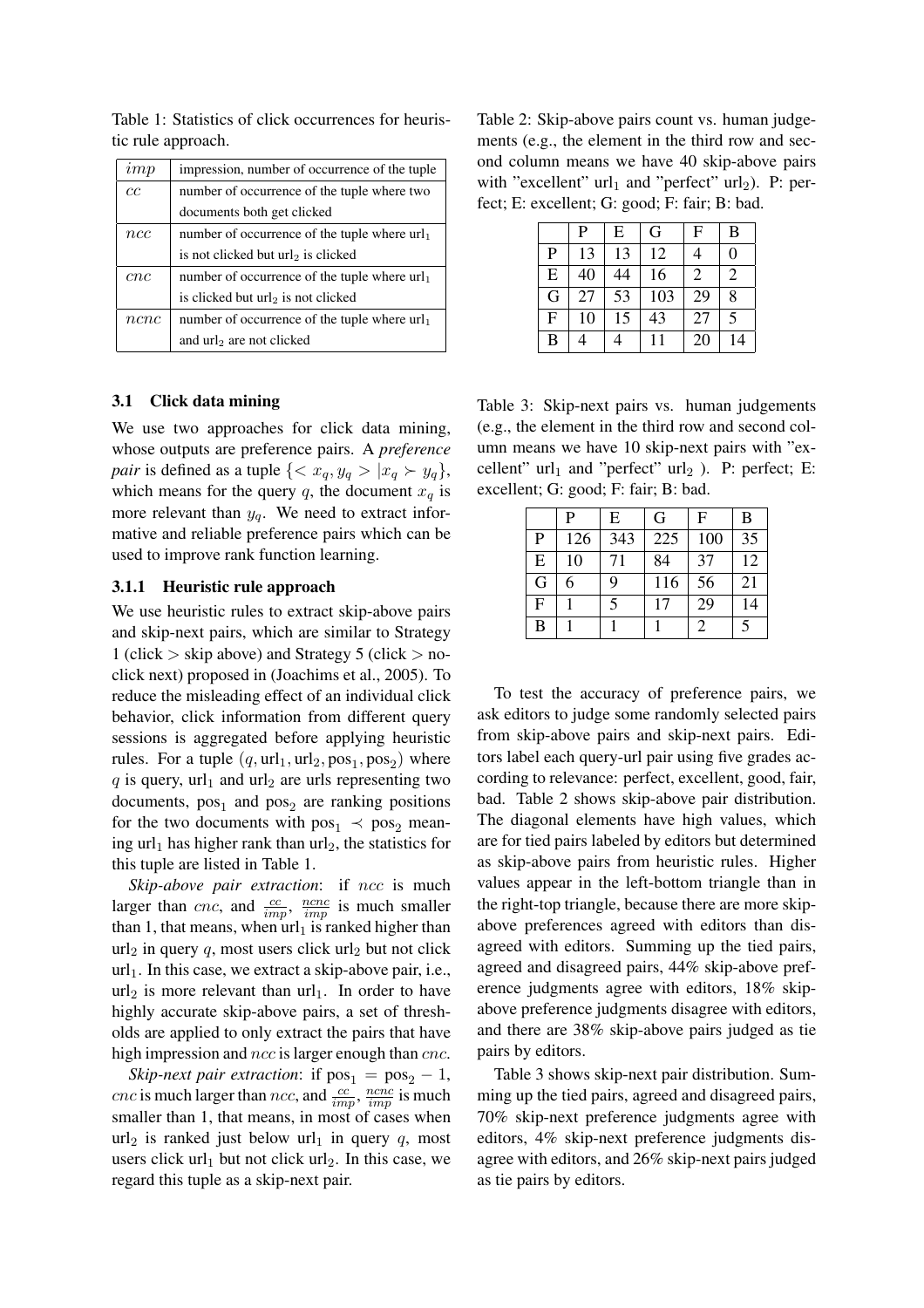| imp  | impression, number of occurrence of the tuple   |  |
|------|-------------------------------------------------|--|
| cс   | number of occurrence of the tuple where two     |  |
|      | documents both get clicked                      |  |
| ncc  | number of occurrence of the tuple where $url_1$ |  |
|      | is not clicked but url <sub>2</sub> is clicked  |  |
| cnc  | number of occurrence of the tuple where $url_1$ |  |
|      | is clicked but url <sub>2</sub> is not clicked  |  |
| ncnc | number of occurrence of the tuple where $url_1$ |  |
|      | and url <sub>2</sub> are not clicked            |  |

Table 1: Statistics of click occurrences for heuristic rule approach.

# 3.1 Click data mining

We use two approaches for click data mining, whose outputs are preference pairs. A *preference pair* is defined as a tuple  $\{ \langle x_q, y_q \rangle | x_q \rangle | y_q \}$ , which means for the query q, the document  $x_q$  is more relevant than  $y_q$ . We need to extract informative and reliable preference pairs which can be used to improve rank function learning.

### 3.1.1 Heuristic rule approach

We use heuristic rules to extract skip-above pairs and skip-next pairs, which are similar to Strategy 1 (click  $>$  skip above) and Strategy 5 (click  $>$  noclick next) proposed in (Joachims et al., 2005). To reduce the misleading effect of an individual click behavior, click information from different query sessions is aggregated before applying heuristic rules. For a tuple  $(q, \text{url}_1, \text{url}_2, \text{pos}_1, \text{pos}_2)$  where  $q$  is query, url<sub>1</sub> and url<sub>2</sub> are urls representing two documents,  $pos_1$  and  $pos_2$  are ranking positions for the two documents with  $pos_1 \prec pos_2$  meaning url<sub>1</sub> has higher rank than url<sub>2</sub>, the statistics for this tuple are listed in Table 1.

*Skip-above pair extraction*: if ncc is much larger than *cnc*, and  $\frac{cc}{imp}$ ,  $\frac{ncnc}{imp}$  is much smaller than 1, that means, when  $url_1$  is ranked higher than  $url_2$  in query q, most users click url<sub>2</sub> but not click  $url_1$ . In this case, we extract a skip-above pair, i.e.,  $url_2$  is more relevant than  $url_1$ . In order to have highly accurate skip-above pairs, a set of thresholds are applied to only extract the pairs that have high impression and *ncc* is larger enough than *cnc*.

*Skip-next pair extraction*: if  $pos_1 = pos_2 - 1$ , *cnc* is much larger than *ncc*, and  $\frac{cc}{imp}$ ,  $\frac{ncnc}{imp}$  is much smaller than 1, that means, in most of cases when url<sub>2</sub> is ranked just below url<sub>1</sub> in query q, most users click url<sub>1</sub> but not click url<sub>2</sub>. In this case, we regard this tuple as a skip-next pair.

Table 2: Skip-above pairs count vs. human judgements (e.g., the element in the third row and second column means we have 40 skip-above pairs with "excellent"  $url_1$  and "perfect"  $url_2$ ). P: perfect; E: excellent; G: good; F: fair; B: bad.

|   | P  | $\mathbf E$ | G   | F              | B  |
|---|----|-------------|-----|----------------|----|
| P | 13 | 13          | 12  | 4              | 0  |
| E | 40 | 44          | 16  | $\overline{c}$ | 2  |
| G | 27 | 53          | 103 | 29             | 8  |
| F | 10 | 15          | 43  | 27             | 5  |
| B |    |             | 11  | 20             | 14 |

Table 3: Skip-next pairs vs. human judgements (e.g., the element in the third row and second column means we have 10 skip-next pairs with "excellent"  $url_1$  and "perfect"  $url_2$ ). P: perfect; E: excellent; G: good; F: fair; B: bad.

|                | P   | E   | G   | $\mathbf{F}$ | B  |
|----------------|-----|-----|-----|--------------|----|
| $\mathbf{P}$   | 126 | 343 | 225 | 100          | 35 |
| ${\bf E}$      | 10  | 71  | 84  | 37           | 12 |
| G              | 6   | 9   | 116 | 56           | 21 |
| $\overline{F}$ |     | 5   | 17  | 29           | 14 |
| B              |     |     |     | 2            |    |

To test the accuracy of preference pairs, we ask editors to judge some randomly selected pairs from skip-above pairs and skip-next pairs. Editors label each query-url pair using five grades according to relevance: perfect, excellent, good, fair, bad. Table 2 shows skip-above pair distribution. The diagonal elements have high values, which are for tied pairs labeled by editors but determined as skip-above pairs from heuristic rules. Higher values appear in the left-bottom triangle than in the right-top triangle, because there are more skipabove preferences agreed with editors than disagreed with editors. Summing up the tied pairs, agreed and disagreed pairs, 44% skip-above preference judgments agree with editors, 18% skipabove preference judgments disagree with editors, and there are 38% skip-above pairs judged as tie pairs by editors.

Table 3 shows skip-next pair distribution. Summing up the tied pairs, agreed and disagreed pairs, 70% skip-next preference judgments agree with editors, 4% skip-next preference judgments disagree with editors, and 26% skip-next pairs judged as tie pairs by editors.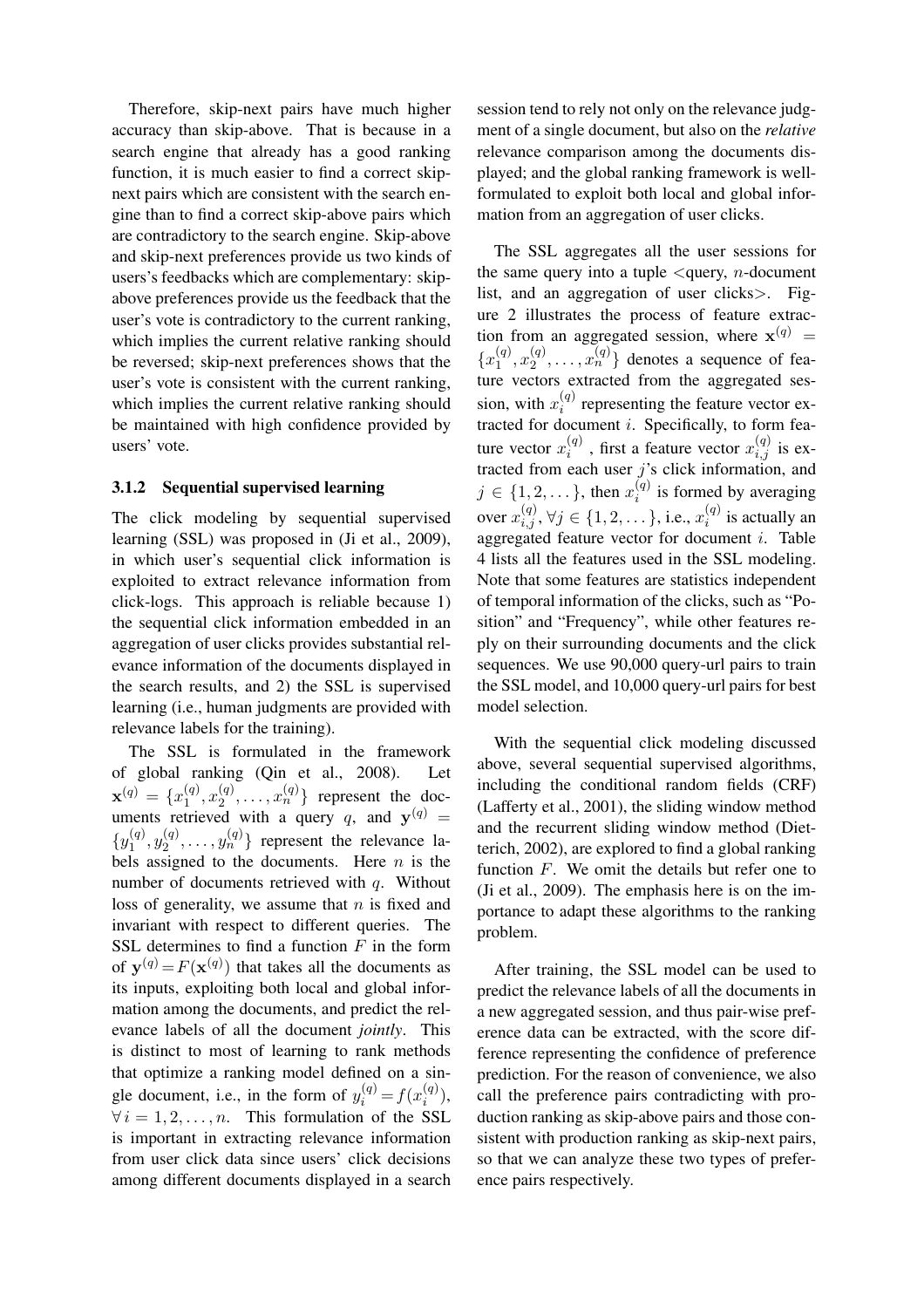Therefore, skip-next pairs have much higher accuracy than skip-above. That is because in a search engine that already has a good ranking function, it is much easier to find a correct skipnext pairs which are consistent with the search engine than to find a correct skip-above pairs which are contradictory to the search engine. Skip-above and skip-next preferences provide us two kinds of users's feedbacks which are complementary: skipabove preferences provide us the feedback that the user's vote is contradictory to the current ranking, which implies the current relative ranking should be reversed; skip-next preferences shows that the user's vote is consistent with the current ranking, which implies the current relative ranking should be maintained with high confidence provided by users' vote.

#### 3.1.2 Sequential supervised learning

The click modeling by sequential supervised learning (SSL) was proposed in (Ji et al., 2009), in which user's sequential click information is exploited to extract relevance information from click-logs. This approach is reliable because 1) the sequential click information embedded in an aggregation of user clicks provides substantial relevance information of the documents displayed in the search results, and 2) the SSL is supervised learning (i.e., human judgments are provided with relevance labels for the training).

The SSL is formulated in the framework of global ranking (Qin et al., 2008). Let  $\mathbf{x}^{(q)} = \{x_1^{(q)}\}$  $\binom{q}{1}, x_2^{(q)}$  $\{a_2^{(q)}, \ldots, x_n^{(q)}\}$  represent the documents retrieved with a query q, and  $y^{(q)} =$  $\{y_1^{(q)}\}$  $y_1^{(q)}, y_2^{(q)}$  $\{a_2^{(q)}, \ldots, y_n^{(q)}\}$  represent the relevance labels assigned to the documents. Here  $n$  is the number of documents retrieved with  $q$ . Without loss of generality, we assume that  $n$  is fixed and invariant with respect to different queries. The SSL determines to find a function  $F$  in the form of  $y^{(q)} = F(x^{(q)})$  that takes all the documents as its inputs, exploiting both local and global information among the documents, and predict the relevance labels of all the document *jointly*. This is distinct to most of learning to rank methods that optimize a ranking model defined on a single document, i.e., in the form of  $y_i^{(q)} = f(x_i^{(q)})$  $\binom{(q)}{i}$  $\forall i = 1, 2, \dots, n$ . This formulation of the SSL is important in extracting relevance information from user click data since users' click decisions among different documents displayed in a search

session tend to rely not only on the relevance judgment of a single document, but also on the *relative* relevance comparison among the documents displayed; and the global ranking framework is wellformulated to exploit both local and global information from an aggregation of user clicks.

The SSL aggregates all the user sessions for the same query into a tuple  $\leq$ query, *n*-document list, and an aggregation of user clicks>. Figure 2 illustrates the process of feature extraction from an aggregated session, where  $\mathbf{x}^{(q)}$  =  $\{x_1^{(q)}\}$  $\binom{q}{1}, x_2^{(q)}$  $\{a_2^{(q)}, \ldots, x_n^{(q)}\}$  denotes a sequence of feature vectors extracted from the aggregated session, with  $x_i^{(q)}$  $i^{(q)}$  representing the feature vector extracted for document  $i$ . Specifically, to form feature vector  $x_i^{(q)}$  $i^{(q)}$ , first a feature vector  $x_{i,j}^{(q)}$  is extracted from each user  $j$ 's click information, and  $j \in \{1, 2, \dots\}$ , then  $x_i^{(q)}$  $i^{(q)}$  is formed by averaging over  $x_{i,j}^{(q)}, \forall j \in \{1, 2, \dots\},$  i.e.,  $x_{i}^{(q)}$  $i^{(q)}$  is actually an aggregated feature vector for document  $i$ . Table 4 lists all the features used in the SSL modeling. Note that some features are statistics independent of temporal information of the clicks, such as "Position" and "Frequency", while other features reply on their surrounding documents and the click sequences. We use 90,000 query-url pairs to train the SSL model, and 10,000 query-url pairs for best model selection.

With the sequential click modeling discussed above, several sequential supervised algorithms, including the conditional random fields (CRF) (Lafferty et al., 2001), the sliding window method and the recurrent sliding window method (Dietterich, 2002), are explored to find a global ranking function  $F$ . We omit the details but refer one to (Ji et al., 2009). The emphasis here is on the importance to adapt these algorithms to the ranking problem.

After training, the SSL model can be used to predict the relevance labels of all the documents in a new aggregated session, and thus pair-wise preference data can be extracted, with the score difference representing the confidence of preference prediction. For the reason of convenience, we also call the preference pairs contradicting with production ranking as skip-above pairs and those consistent with production ranking as skip-next pairs, so that we can analyze these two types of preference pairs respectively.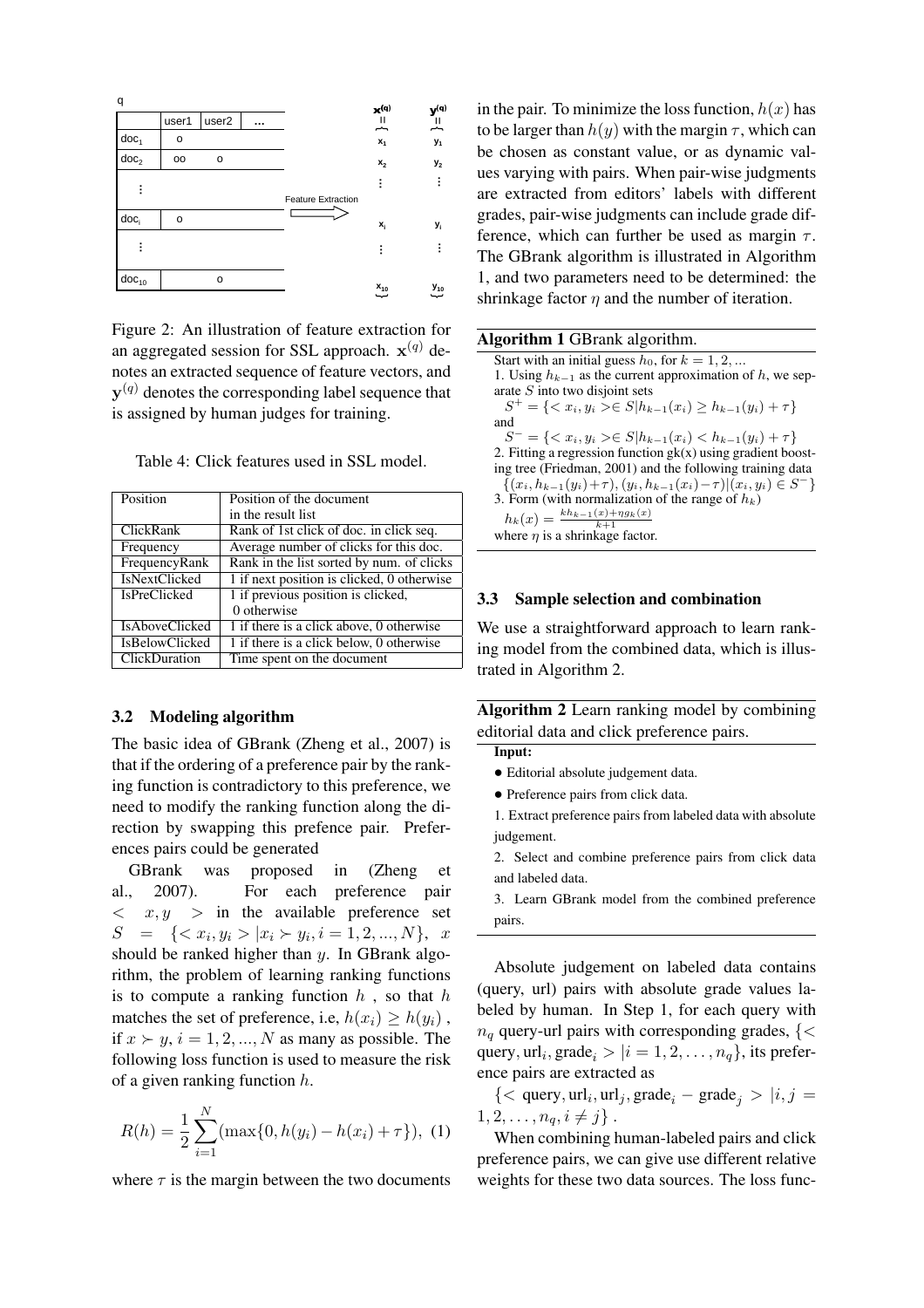

Figure 2: An illustration of feature extraction for an aggregated session for SSL approach.  $\mathbf{x}^{(q)}$  denotes an extracted sequence of feature vectors, and  $y^{(q)}$  denotes the corresponding label sequence that is assigned by human judges for training.

| Position              | Position of the document                   |  |  |
|-----------------------|--------------------------------------------|--|--|
|                       | in the result list                         |  |  |
| <b>ClickRank</b>      | Rank of 1st click of doc. in click seq.    |  |  |
| Frequency             | Average number of clicks for this doc.     |  |  |
| FrequencyRank         | Rank in the list sorted by num. of clicks  |  |  |
| <b>IsNextClicked</b>  | 1 if next position is clicked, 0 otherwise |  |  |
| <b>IsPreClicked</b>   | 1 if previous position is clicked,         |  |  |
|                       | 0 otherwise                                |  |  |
| <b>IsAboveClicked</b> | 1 if there is a click above, 0 otherwise   |  |  |
| <b>IsBelowClicked</b> | 1 if there is a click below, 0 otherwise   |  |  |
| ClickDuration         | Time spent on the document                 |  |  |

Table 4: Click features used in SSL model.

### 3.2 Modeling algorithm

The basic idea of GBrank (Zheng et al., 2007) is that if the ordering of a preference pair by the ranking function is contradictory to this preference, we need to modify the ranking function along the direction by swapping this prefence pair. Preferences pairs could be generated

GBrank was proposed in (Zheng et al., 2007). For each preference pair  $\langle x, y \rangle$  in the available preference set  $S = \{ \langle x_i, y_i \rangle | x_i \rangle | y_i, i = 1, 2, ..., N \}, x$ should be ranked higher than y. In GBrank algorithm, the problem of learning ranking functions is to compute a ranking function  $h$ , so that  $h$ matches the set of preference, i.e,  $h(x_i) \ge h(y_i)$ , if  $x \succ y$ ,  $i = 1, 2, ..., N$  as many as possible. The following loss function is used to measure the risk of a given ranking function h.

$$
R(h) = \frac{1}{2} \sum_{i=1}^{N} (\max\{0, h(y_i) - h(x_i) + \tau\}), \tag{1}
$$

where  $\tau$  is the margin between the two documents

in the pair. To minimize the loss function,  $h(x)$  has to be larger than  $h(y)$  with the margin  $\tau$ , which can be chosen as constant value, or as dynamic values varying with pairs. When pair-wise judgments are extracted from editors' labels with different grades, pair-wise judgments can include grade difference, which can further be used as margin  $\tau$ . The GBrank algorithm is illustrated in Algorithm 1, and two parameters need to be determined: the shrinkage factor  $\eta$  and the number of iteration.

#### 3.3 Sample selection and combination

We use a straightforward approach to learn ranking model from the combined data, which is illustrated in Algorithm 2.

Algorithm 2 Learn ranking model by combining editorial data and click preference pairs.

- Input:
- Editorial absolute judgement data.
- Preference pairs from click data.

1. Extract preference pairs from labeled data with absolute judgement.

2. Select and combine preference pairs from click data and labeled data.

3. Learn GBrank model from the combined preference pairs.

Absolute judgement on labeled data contains (query, url) pairs with absolute grade values labeled by human. In Step 1, for each query with  $n_q$  query-url pairs with corresponding grades, {< query,  $url_i$ , grade $_i > |i = 1, 2, \ldots, n_q\}$ , its preference pairs are extracted as

 $\{<\text{query}, \text{url}_i, \text{url}_j, \text{grade}_i - \text{grade}_j > |i, j = \}$  $1, 2, \ldots, n_q, i \neq j$ .

When combining human-labeled pairs and click preference pairs, we can give use different relative weights for these two data sources. The loss func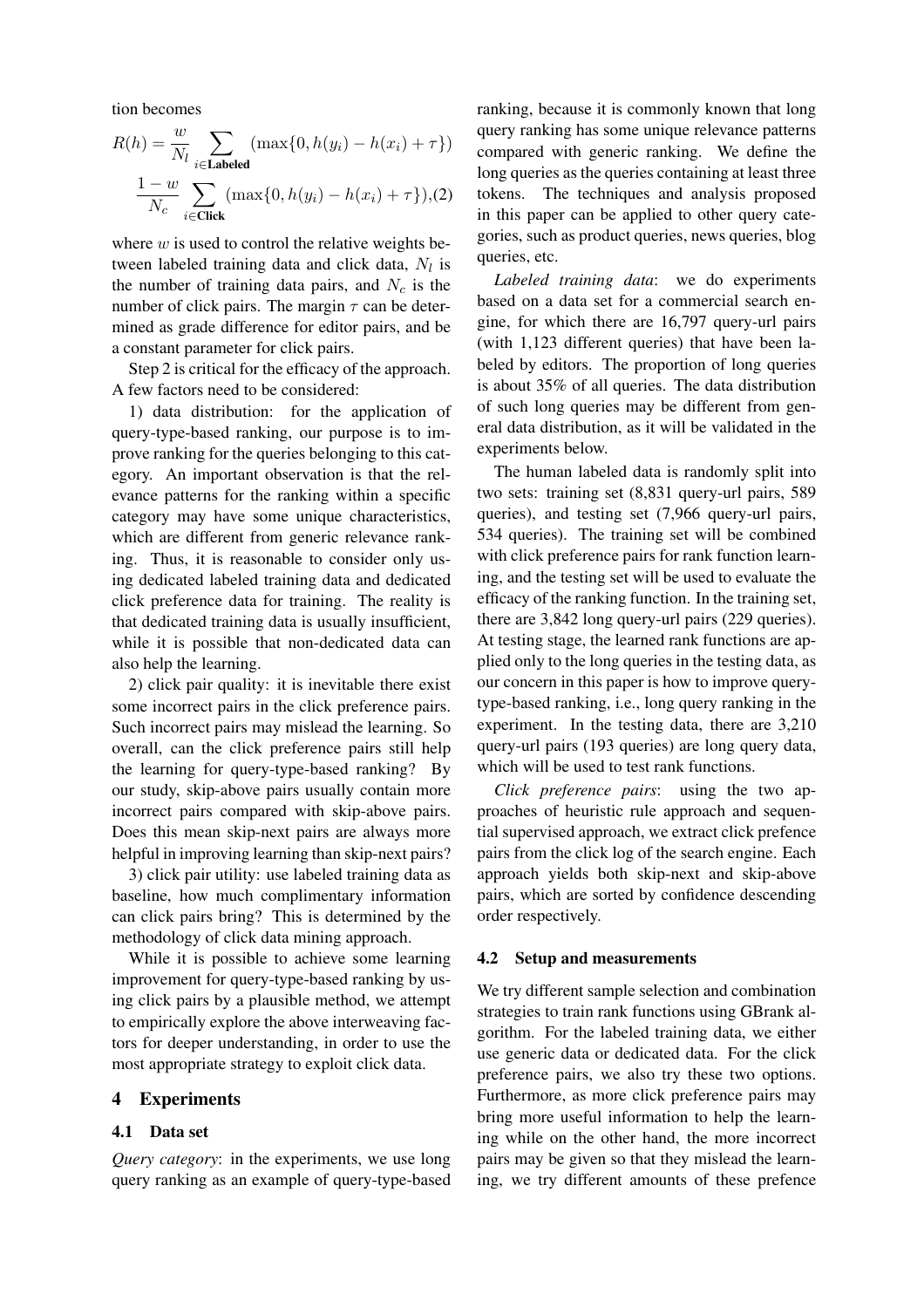tion becomes

$$
R(h) = \frac{w}{N_l} \sum_{i \in \text{Labeled}} (\max\{0, h(y_i) - h(x_i) + \tau\})
$$

$$
\frac{1 - w}{N_c} \sum_{i \in \text{Click}} (\max\{0, h(y_i) - h(x_i) + \tau\}), (2)
$$

where  $w$  is used to control the relative weights between labeled training data and click data,  $N_l$  is the number of training data pairs, and  $N_c$  is the number of click pairs. The margin  $\tau$  can be determined as grade difference for editor pairs, and be a constant parameter for click pairs.

Step 2 is critical for the efficacy of the approach. A few factors need to be considered:

1) data distribution: for the application of query-type-based ranking, our purpose is to improve ranking for the queries belonging to this category. An important observation is that the relevance patterns for the ranking within a specific category may have some unique characteristics, which are different from generic relevance ranking. Thus, it is reasonable to consider only using dedicated labeled training data and dedicated click preference data for training. The reality is that dedicated training data is usually insufficient, while it is possible that non-dedicated data can also help the learning.

2) click pair quality: it is inevitable there exist some incorrect pairs in the click preference pairs. Such incorrect pairs may mislead the learning. So overall, can the click preference pairs still help the learning for query-type-based ranking? By our study, skip-above pairs usually contain more incorrect pairs compared with skip-above pairs. Does this mean skip-next pairs are always more helpful in improving learning than skip-next pairs?

3) click pair utility: use labeled training data as baseline, how much complimentary information can click pairs bring? This is determined by the methodology of click data mining approach.

While it is possible to achieve some learning improvement for query-type-based ranking by using click pairs by a plausible method, we attempt to empirically explore the above interweaving factors for deeper understanding, in order to use the most appropriate strategy to exploit click data.

# 4 Experiments

### 4.1 Data set

*Query category*: in the experiments, we use long query ranking as an example of query-type-based ranking, because it is commonly known that long query ranking has some unique relevance patterns compared with generic ranking. We define the long queries as the queries containing at least three tokens. The techniques and analysis proposed in this paper can be applied to other query categories, such as product queries, news queries, blog queries, etc.

*Labeled training data*: we do experiments based on a data set for a commercial search engine, for which there are 16,797 query-url pairs (with 1,123 different queries) that have been labeled by editors. The proportion of long queries is about 35% of all queries. The data distribution of such long queries may be different from general data distribution, as it will be validated in the experiments below.

The human labeled data is randomly split into two sets: training set (8,831 query-url pairs, 589 queries), and testing set (7,966 query-url pairs, 534 queries). The training set will be combined with click preference pairs for rank function learning, and the testing set will be used to evaluate the efficacy of the ranking function. In the training set, there are 3,842 long query-url pairs (229 queries). At testing stage, the learned rank functions are applied only to the long queries in the testing data, as our concern in this paper is how to improve querytype-based ranking, i.e., long query ranking in the experiment. In the testing data, there are 3,210 query-url pairs (193 queries) are long query data, which will be used to test rank functions.

*Click preference pairs*: using the two approaches of heuristic rule approach and sequential supervised approach, we extract click prefence pairs from the click log of the search engine. Each approach yields both skip-next and skip-above pairs, which are sorted by confidence descending order respectively.

### 4.2 Setup and measurements

We try different sample selection and combination strategies to train rank functions using GBrank algorithm. For the labeled training data, we either use generic data or dedicated data. For the click preference pairs, we also try these two options. Furthermore, as more click preference pairs may bring more useful information to help the learning while on the other hand, the more incorrect pairs may be given so that they mislead the learning, we try different amounts of these prefence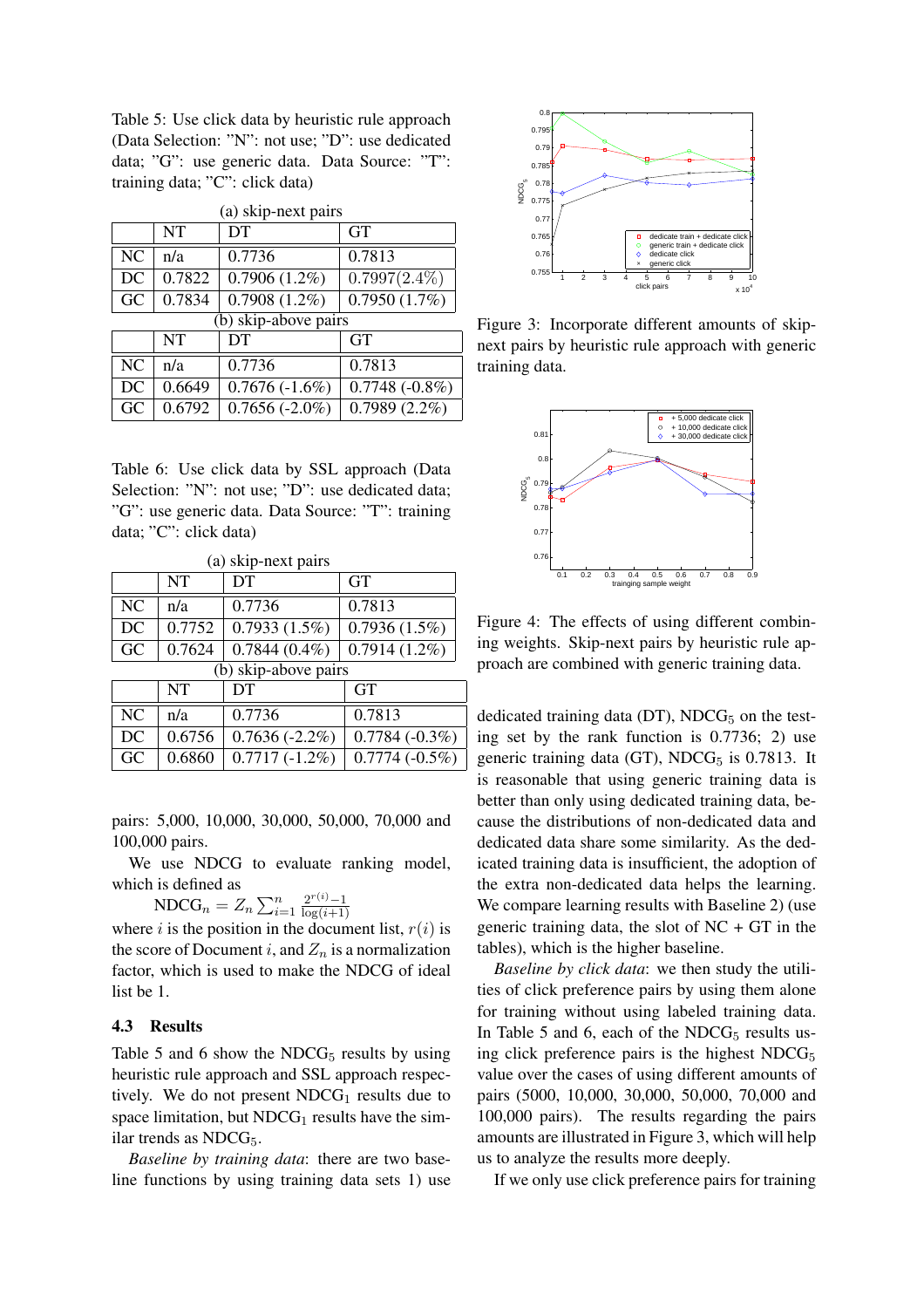Table 5: Use click data by heuristic rule approach (Data Selection: "N": not use; "D": use dedicated data; "G": use generic data. Data Source: "T": training data; "C": click data)

| (а) ѕкір-пелі ран з |                        |                  |                            |  |
|---------------------|------------------------|------------------|----------------------------|--|
|                     | NT                     | DT               | <b>GT</b>                  |  |
| NC                  | n/a                    | 0.7736           | 0.7813                     |  |
| DC                  | 0.7822                 | $0.7906(1.2\%)$  | $0.7997(2.4\%)$            |  |
| GC                  | 0.7834                 | 0.7908(1.2%)     | $\overline{0.7950}$ (1.7%) |  |
|                     | $(b)$ skip-above pairs |                  |                            |  |
|                     | <b>NT</b>              | DT               | <b>GT</b>                  |  |
| NC                  | n/a                    | 0.7736           | 0.7813                     |  |
| DC                  | 0.6649                 | $0.7676(-1.6%)$  | $0.7748(-0.8\%)$           |  |
| GC                  | 0.6792                 | $0.7656(-2.0\%)$ | $0.7989(2.2\%)$            |  |

 $(n)$  skip-next pairs

Table 6: Use click data by SSL approach (Data Selection: "N": not use; "D": use dedicated data; "G": use generic data. Data Source: "T": training data; "C": click data)

| (a) skip-next pairs    |           |                  |                  |  |
|------------------------|-----------|------------------|------------------|--|
|                        | <b>NT</b> | DT               | <b>GT</b>        |  |
| N <sub>C</sub>         | n/a       | 0.7736           | 0.7813           |  |
| DC                     | 0.7752    | 0.7933(1.5%)     | 0.7936(1.5%)     |  |
| GC                     | 0.7624    | $0.7844(0.4\%)$  | $0.7914(1.2\%)$  |  |
| $(b)$ skip-above pairs |           |                  |                  |  |
|                        | NT        | DТ               | GT               |  |
| N <sub>C</sub>         | n/a       | 0.7736           | 0.7813           |  |
| DC                     | 0.6756    | $0.7636(-2.2\%)$ | $0.7784(-0.3\%)$ |  |
| GC                     | 0.6860    | $0.7717(-1.2\%)$ | $0.7774(-0.5%)$  |  |

pairs: 5,000, 10,000, 30,000, 50,000, 70,000 and 100,000 pairs.

We use NDCG to evaluate ranking model, which is defined as

Is defined as<br>NDCG<sub>n</sub> =  $Z_n \sum_{i=1}^n$  $\frac{1}{i}$  =  $\frac{2^{r(i)}-1}{\log(i+1)}$  $log(i+1)$ 

where i is the position in the document list,  $r(i)$  is the score of Document i, and  $Z_n$  is a normalization factor, which is used to make the NDCG of ideal list be 1.

# 4.3 Results

Table 5 and 6 show the NDC $G<sub>5</sub>$  results by using heuristic rule approach and SSL approach respectively. We do not present  $NDCG_1$  results due to space limitation, but  $NDCG<sub>1</sub>$  results have the similar trends as  $NDCG_5$ .

*Baseline by training data*: there are two baseline functions by using training data sets 1) use



Figure 3: Incorporate different amounts of skipnext pairs by heuristic rule approach with generic training data.



Figure 4: The effects of using different combining weights. Skip-next pairs by heuristic rule approach are combined with generic training data.

dedicated training data (DT),  $NDCG<sub>5</sub>$  on the testing set by the rank function is 0.7736; 2) use generic training data (GT),  $NDCG<sub>5</sub>$  is 0.7813. It is reasonable that using generic training data is better than only using dedicated training data, because the distributions of non-dedicated data and dedicated data share some similarity. As the dedicated training data is insufficient, the adoption of the extra non-dedicated data helps the learning. We compare learning results with Baseline 2) (use generic training data, the slot of  $NC + GT$  in the tables), which is the higher baseline.

*Baseline by click data*: we then study the utilities of click preference pairs by using them alone for training without using labeled training data. In Table 5 and 6, each of the  $NDCG<sub>5</sub>$  results using click preference pairs is the highest  $NDCG<sub>5</sub>$ value over the cases of using different amounts of pairs (5000, 10,000, 30,000, 50,000, 70,000 and 100,000 pairs). The results regarding the pairs amounts are illustrated in Figure 3, which will help us to analyze the results more deeply.

If we only use click preference pairs for training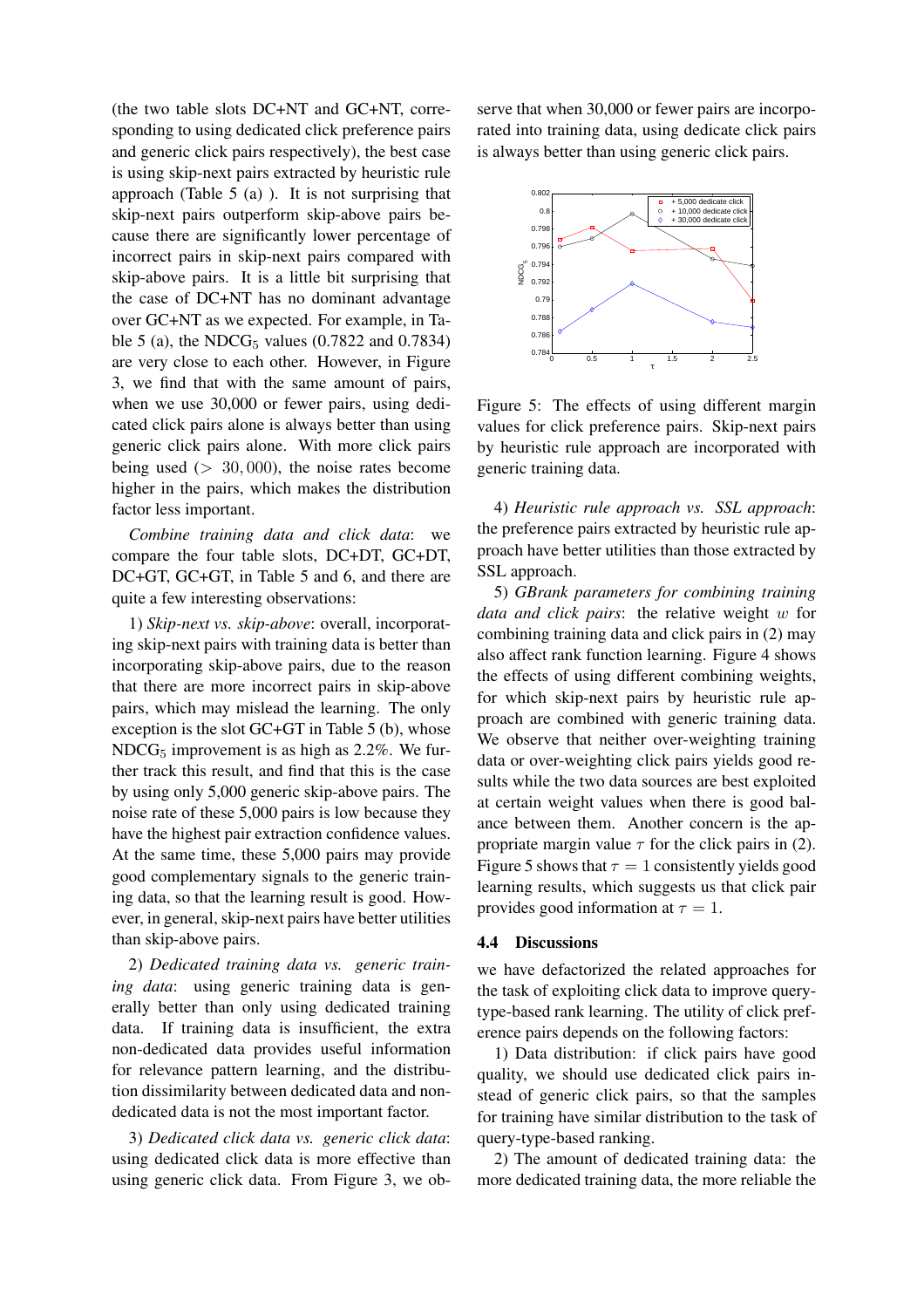(the two table slots DC+NT and GC+NT, corresponding to using dedicated click preference pairs and generic click pairs respectively), the best case is using skip-next pairs extracted by heuristic rule approach (Table 5 (a) ). It is not surprising that skip-next pairs outperform skip-above pairs because there are significantly lower percentage of incorrect pairs in skip-next pairs compared with skip-above pairs. It is a little bit surprising that the case of DC+NT has no dominant advantage over GC+NT as we expected. For example, in Table 5 (a), the NDC $G_5$  values (0.7822 and 0.7834) are very close to each other. However, in Figure 3, we find that with the same amount of pairs, when we use 30,000 or fewer pairs, using dedicated click pairs alone is always better than using generic click pairs alone. With more click pairs being used  $(> 30,000)$ , the noise rates become higher in the pairs, which makes the distribution factor less important.

*Combine training data and click data*: we compare the four table slots, DC+DT, GC+DT, DC+GT, GC+GT, in Table 5 and 6, and there are quite a few interesting observations:

1) *Skip-next vs. skip-above*: overall, incorporating skip-next pairs with training data is better than incorporating skip-above pairs, due to the reason that there are more incorrect pairs in skip-above pairs, which may mislead the learning. The only exception is the slot GC+GT in Table 5 (b), whose  $NDCG<sub>5</sub>$  improvement is as high as 2.2%. We further track this result, and find that this is the case by using only 5,000 generic skip-above pairs. The noise rate of these 5,000 pairs is low because they have the highest pair extraction confidence values. At the same time, these 5,000 pairs may provide good complementary signals to the generic training data, so that the learning result is good. However, in general, skip-next pairs have better utilities than skip-above pairs.

2) *Dedicated training data vs. generic training data*: using generic training data is generally better than only using dedicated training data. If training data is insufficient, the extra non-dedicated data provides useful information for relevance pattern learning, and the distribution dissimilarity between dedicated data and nondedicated data is not the most important factor.

3) *Dedicated click data vs. generic click data*: using dedicated click data is more effective than using generic click data. From Figure 3, we observe that when 30,000 or fewer pairs are incorporated into training data, using dedicate click pairs is always better than using generic click pairs.



Figure 5: The effects of using different margin values for click preference pairs. Skip-next pairs by heuristic rule approach are incorporated with generic training data.

4) *Heuristic rule approach vs. SSL approach*: the preference pairs extracted by heuristic rule approach have better utilities than those extracted by SSL approach.

5) *GBrank parameters for combining training data and click pairs*: the relative weight w for combining training data and click pairs in (2) may also affect rank function learning. Figure 4 shows the effects of using different combining weights, for which skip-next pairs by heuristic rule approach are combined with generic training data. We observe that neither over-weighting training data or over-weighting click pairs yields good results while the two data sources are best exploited at certain weight values when there is good balance between them. Another concern is the appropriate margin value  $\tau$  for the click pairs in (2). Figure 5 shows that  $\tau = 1$  consistently yields good learning results, which suggests us that click pair provides good information at  $\tau = 1$ .

### 4.4 Discussions

we have defactorized the related approaches for the task of exploiting click data to improve querytype-based rank learning. The utility of click preference pairs depends on the following factors:

1) Data distribution: if click pairs have good quality, we should use dedicated click pairs instead of generic click pairs, so that the samples for training have similar distribution to the task of query-type-based ranking.

2) The amount of dedicated training data: the more dedicated training data, the more reliable the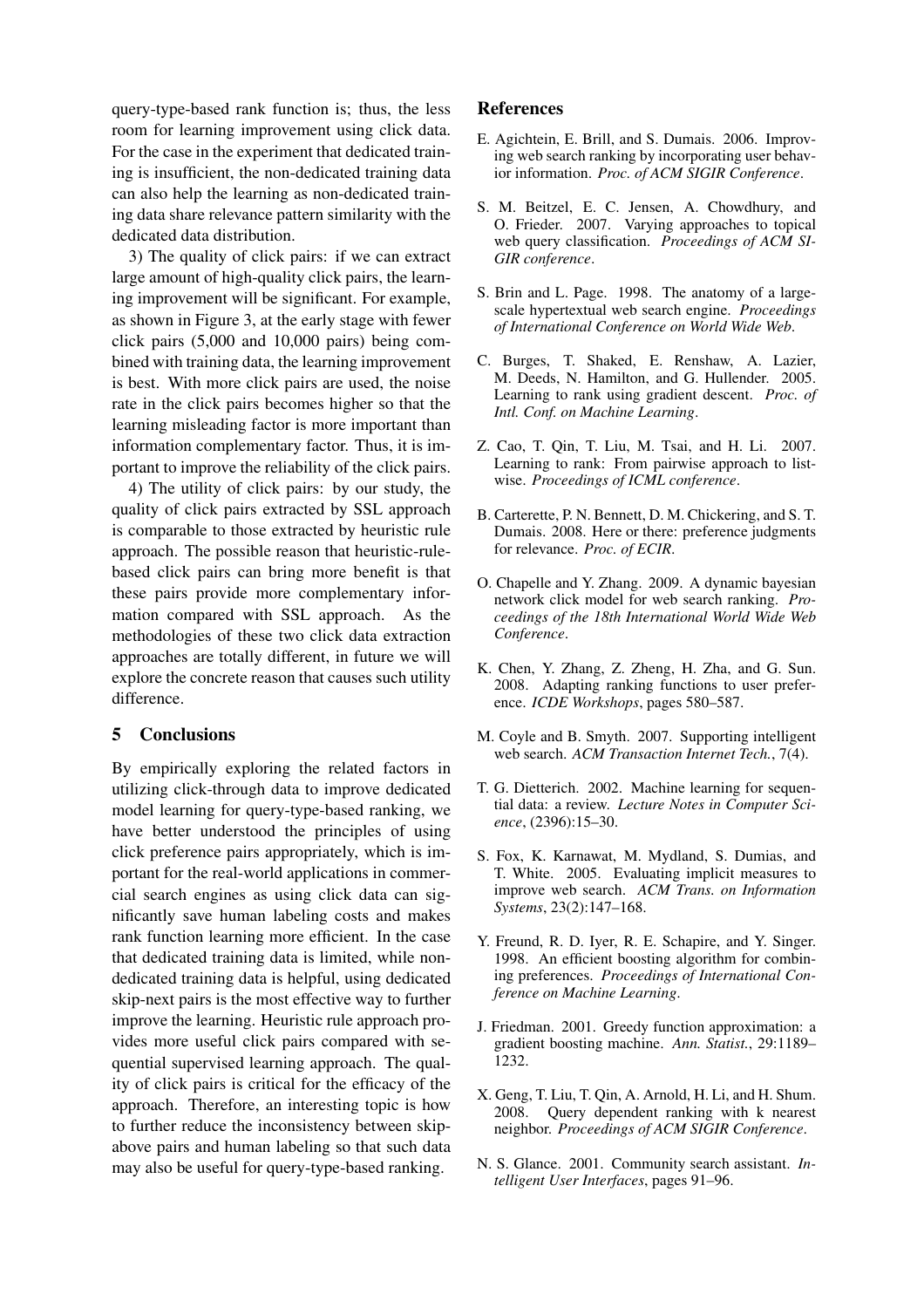query-type-based rank function is; thus, the less room for learning improvement using click data. For the case in the experiment that dedicated training is insufficient, the non-dedicated training data can also help the learning as non-dedicated training data share relevance pattern similarity with the dedicated data distribution.

3) The quality of click pairs: if we can extract large amount of high-quality click pairs, the learning improvement will be significant. For example, as shown in Figure 3, at the early stage with fewer click pairs (5,000 and 10,000 pairs) being combined with training data, the learning improvement is best. With more click pairs are used, the noise rate in the click pairs becomes higher so that the learning misleading factor is more important than information complementary factor. Thus, it is important to improve the reliability of the click pairs.

4) The utility of click pairs: by our study, the quality of click pairs extracted by SSL approach is comparable to those extracted by heuristic rule approach. The possible reason that heuristic-rulebased click pairs can bring more benefit is that these pairs provide more complementary information compared with SSL approach. As the methodologies of these two click data extraction approaches are totally different, in future we will explore the concrete reason that causes such utility difference.

# 5 Conclusions

By empirically exploring the related factors in utilizing click-through data to improve dedicated model learning for query-type-based ranking, we have better understood the principles of using click preference pairs appropriately, which is important for the real-world applications in commercial search engines as using click data can significantly save human labeling costs and makes rank function learning more efficient. In the case that dedicated training data is limited, while nondedicated training data is helpful, using dedicated skip-next pairs is the most effective way to further improve the learning. Heuristic rule approach provides more useful click pairs compared with sequential supervised learning approach. The quality of click pairs is critical for the efficacy of the approach. Therefore, an interesting topic is how to further reduce the inconsistency between skipabove pairs and human labeling so that such data may also be useful for query-type-based ranking.

# References

- E. Agichtein, E. Brill, and S. Dumais. 2006. Improving web search ranking by incorporating user behavior information. *Proc. of ACM SIGIR Conference*.
- S. M. Beitzel, E. C. Jensen, A. Chowdhury, and O. Frieder. 2007. Varying approaches to topical web query classification. *Proceedings of ACM SI-GIR conference*.
- S. Brin and L. Page. 1998. The anatomy of a largescale hypertextual web search engine. *Proceedings of International Conference on World Wide Web*.
- C. Burges, T. Shaked, E. Renshaw, A. Lazier, M. Deeds, N. Hamilton, and G. Hullender. 2005. Learning to rank using gradient descent. *Proc. of Intl. Conf. on Machine Learning*.
- Z. Cao, T. Qin, T. Liu, M. Tsai, and H. Li. 2007. Learning to rank: From pairwise approach to listwise. *Proceedings of ICML conference*.
- B. Carterette, P. N. Bennett, D. M. Chickering, and S. T. Dumais. 2008. Here or there: preference judgments for relevance. *Proc. of ECIR*.
- O. Chapelle and Y. Zhang. 2009. A dynamic bayesian network click model for web search ranking. *Proceedings of the 18th International World Wide Web Conference*.
- K. Chen, Y. Zhang, Z. Zheng, H. Zha, and G. Sun. 2008. Adapting ranking functions to user preference. *ICDE Workshops*, pages 580–587.
- M. Coyle and B. Smyth. 2007. Supporting intelligent web search. *ACM Transaction Internet Tech.*, 7(4).
- T. G. Dietterich. 2002. Machine learning for sequential data: a review. *Lecture Notes in Computer Science*, (2396):15–30.
- S. Fox, K. Karnawat, M. Mydland, S. Dumias, and T. White. 2005. Evaluating implicit measures to improve web search. *ACM Trans. on Information Systems*, 23(2):147–168.
- Y. Freund, R. D. Iyer, R. E. Schapire, and Y. Singer. 1998. An efficient boosting algorithm for combining preferences. *Proceedings of International Conference on Machine Learning*.
- J. Friedman. 2001. Greedy function approximation: a gradient boosting machine. *Ann. Statist.*, 29:1189– 1232.
- X. Geng, T. Liu, T. Qin, A. Arnold, H. Li, and H. Shum. 2008. Query dependent ranking with k nearest neighbor. *Proceedings of ACM SIGIR Conference*.
- N. S. Glance. 2001. Community search assistant. *Intelligent User Interfaces*, pages 91–96.